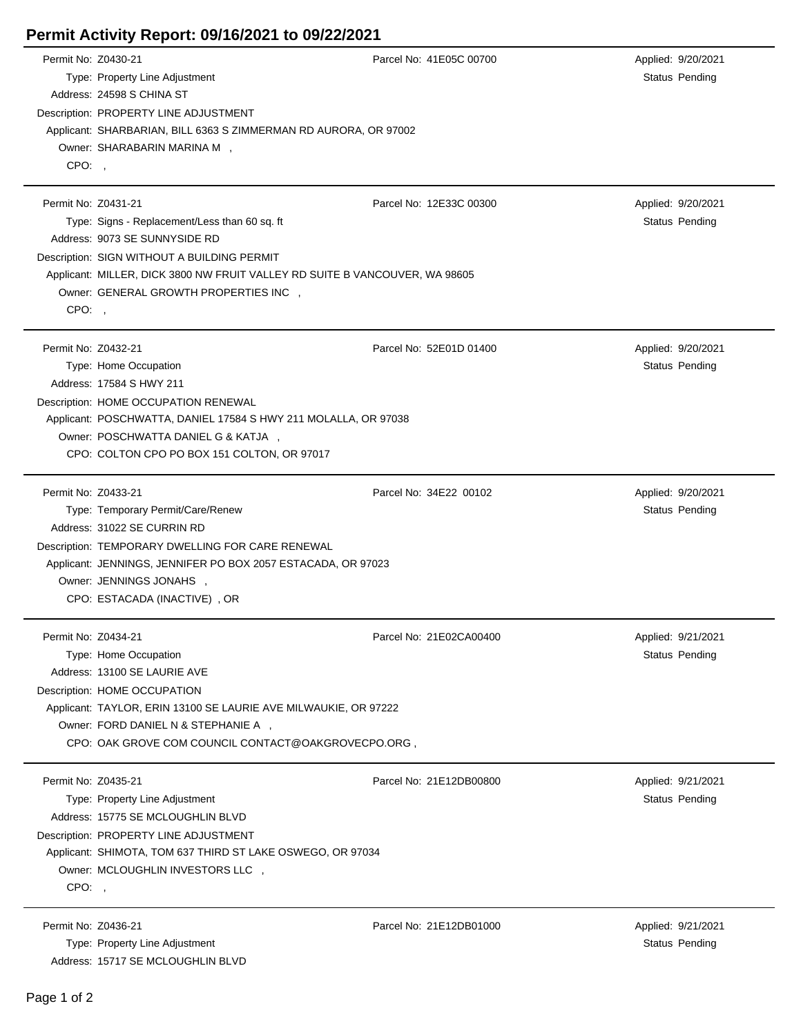## **Permit Activity Report: 09/16/2021 to 09/22/2021**

| Permit No: Z0430-21 |                                                                                                                  | Parcel No: 41E05C 00700 |  | Applied: 9/20/2021    |  |  |
|---------------------|------------------------------------------------------------------------------------------------------------------|-------------------------|--|-----------------------|--|--|
|                     | Type: Property Line Adjustment                                                                                   |                         |  | Status Pending        |  |  |
|                     | Address: 24598 S CHINA ST                                                                                        |                         |  |                       |  |  |
|                     | Description: PROPERTY LINE ADJUSTMENT                                                                            |                         |  |                       |  |  |
|                     | Applicant: SHARBARIAN, BILL 6363 S ZIMMERMAN RD AURORA, OR 97002                                                 |                         |  |                       |  |  |
|                     | Owner: SHARABARIN MARINA M,                                                                                      |                         |  |                       |  |  |
| $CPO:$ ,            |                                                                                                                  |                         |  |                       |  |  |
|                     |                                                                                                                  |                         |  |                       |  |  |
| Permit No: Z0431-21 |                                                                                                                  | Parcel No: 12E33C 00300 |  | Applied: 9/20/2021    |  |  |
|                     | Type: Signs - Replacement/Less than 60 sq. ft                                                                    |                         |  | <b>Status Pending</b> |  |  |
|                     | Address: 9073 SE SUNNYSIDE RD                                                                                    |                         |  |                       |  |  |
|                     | Description: SIGN WITHOUT A BUILDING PERMIT                                                                      |                         |  |                       |  |  |
|                     | Applicant: MILLER, DICK 3800 NW FRUIT VALLEY RD SUITE B VANCOUVER, WA 98605                                      |                         |  |                       |  |  |
|                     | Owner: GENERAL GROWTH PROPERTIES INC ,                                                                           |                         |  |                       |  |  |
| CPO:,               |                                                                                                                  |                         |  |                       |  |  |
|                     |                                                                                                                  |                         |  |                       |  |  |
| Permit No: Z0432-21 |                                                                                                                  | Parcel No: 52E01D 01400 |  | Applied: 9/20/2021    |  |  |
|                     | Type: Home Occupation                                                                                            |                         |  | <b>Status Pending</b> |  |  |
|                     | Address: 17584 S HWY 211                                                                                         |                         |  |                       |  |  |
|                     | Description: HOME OCCUPATION RENEWAL                                                                             |                         |  |                       |  |  |
|                     |                                                                                                                  |                         |  |                       |  |  |
|                     | Applicant: POSCHWATTA, DANIEL 17584 S HWY 211 MOLALLA, OR 97038<br>Owner: POSCHWATTA DANIEL G & KATJA,           |                         |  |                       |  |  |
|                     | CPO: COLTON CPO PO BOX 151 COLTON, OR 97017                                                                      |                         |  |                       |  |  |
|                     |                                                                                                                  |                         |  |                       |  |  |
| Permit No: Z0433-21 |                                                                                                                  | Parcel No: 34E22 00102  |  | Applied: 9/20/2021    |  |  |
|                     | Type: Temporary Permit/Care/Renew                                                                                |                         |  | <b>Status Pending</b> |  |  |
|                     | Address: 31022 SE CURRIN RD                                                                                      |                         |  |                       |  |  |
|                     |                                                                                                                  |                         |  |                       |  |  |
|                     | Description: TEMPORARY DWELLING FOR CARE RENEWAL<br>Applicant: JENNINGS, JENNIFER PO BOX 2057 ESTACADA, OR 97023 |                         |  |                       |  |  |
|                     | Owner: JENNINGS JONAHS ,                                                                                         |                         |  |                       |  |  |
|                     | CPO: ESTACADA (INACTIVE), OR                                                                                     |                         |  |                       |  |  |
|                     |                                                                                                                  |                         |  |                       |  |  |
| Permit No: Z0434-21 |                                                                                                                  | Parcel No: 21E02CA00400 |  | Applied: 9/21/2021    |  |  |
|                     | Type: Home Occupation                                                                                            |                         |  | Status Pending        |  |  |
|                     | Address: 13100 SE LAURIE AVE                                                                                     |                         |  |                       |  |  |
|                     |                                                                                                                  |                         |  |                       |  |  |
|                     | Description: HOME OCCUPATION                                                                                     |                         |  |                       |  |  |
|                     | Applicant: TAYLOR, ERIN 13100 SE LAURIE AVE MILWAUKIE, OR 97222<br>Owner: FORD DANIEL N & STEPHANIE A ,          |                         |  |                       |  |  |
|                     | CPO: OAK GROVE COM COUNCIL CONTACT@OAKGROVECPO.ORG,                                                              |                         |  |                       |  |  |
|                     |                                                                                                                  |                         |  |                       |  |  |
| Permit No: Z0435-21 |                                                                                                                  | Parcel No: 21E12DB00800 |  | Applied: 9/21/2021    |  |  |
|                     |                                                                                                                  |                         |  |                       |  |  |
|                     | Type: Property Line Adjustment<br>Address: 15775 SE MCLOUGHLIN BLVD                                              |                         |  | Status Pending        |  |  |
|                     |                                                                                                                  |                         |  |                       |  |  |
|                     | Description: PROPERTY LINE ADJUSTMENT                                                                            |                         |  |                       |  |  |
|                     | Applicant: SHIMOTA, TOM 637 THIRD ST LAKE OSWEGO, OR 97034                                                       |                         |  |                       |  |  |
|                     | Owner: MCLOUGHLIN INVESTORS LLC,                                                                                 |                         |  |                       |  |  |
| CPO:,               |                                                                                                                  |                         |  |                       |  |  |
| Permit No: Z0436-21 |                                                                                                                  | Parcel No: 21E12DB01000 |  |                       |  |  |
|                     |                                                                                                                  |                         |  | Applied: 9/21/2021    |  |  |
|                     | Type: Property Line Adjustment                                                                                   |                         |  | Status Pending        |  |  |
|                     | Address: 15717 SE MCLOUGHLIN BLVD                                                                                |                         |  |                       |  |  |